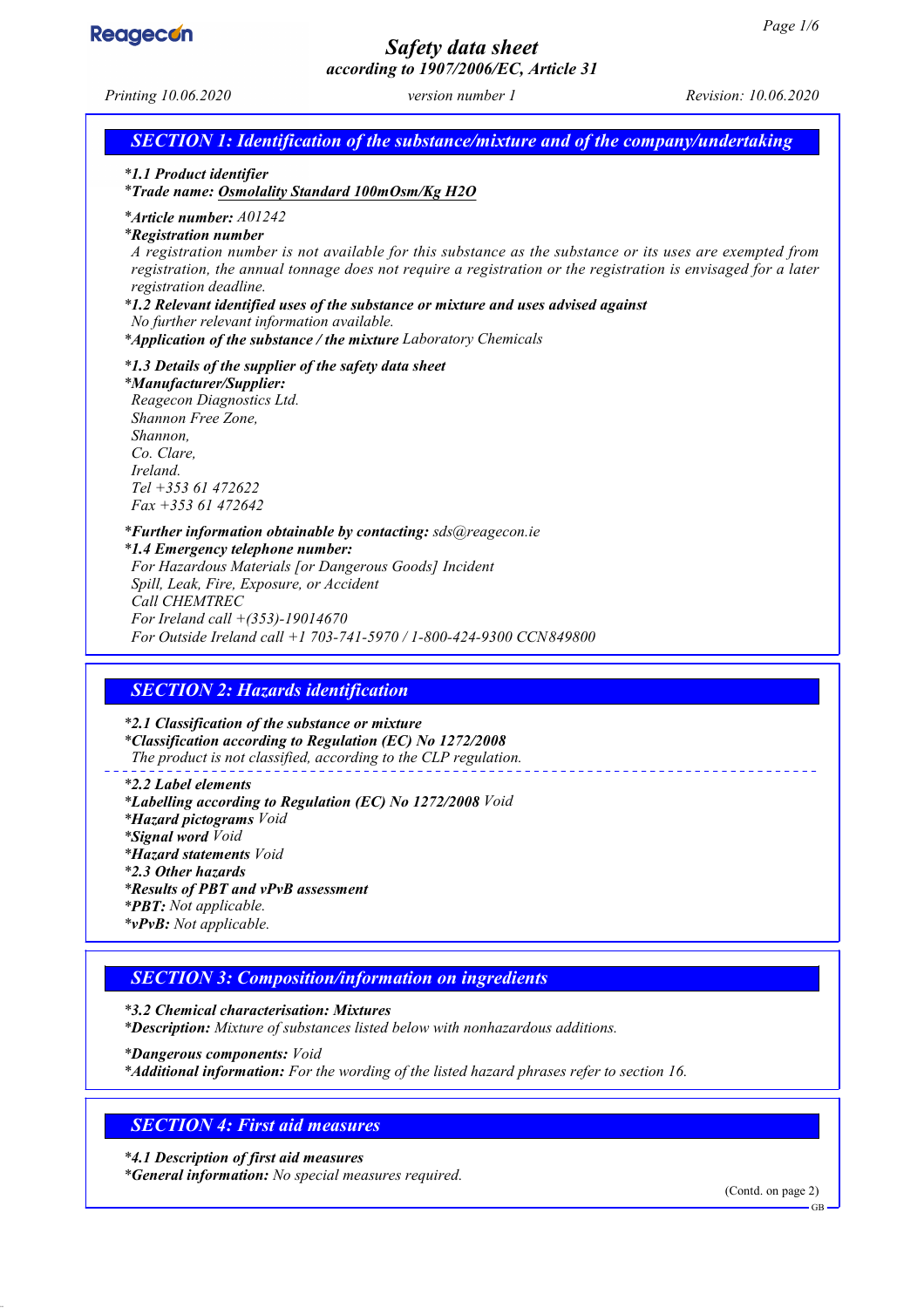

*Page 1/6 Safety data sheet according to 1907/2006/EC, Article 31 Printing 10.06.2020 version number 1 Revision: 10.06.2020 SECTION 1: Identification of the substance/mixture and of the company/undertaking \* 1.1 Product identifier \* Trade name: Osmolality Standard 100mOsm/Kg H2O \* Article number: A01242 \* Registration number A registration number is not available for this substance as the substance or its uses are exempted from registration, the annual tonnage does not require a registration or the registration is envisaged for a later registration deadline. \* 1.2 Relevant identified uses of the substance or mixture and uses advised against No further relevant information available. \* Application of the substance / the mixture Laboratory Chemicals \* 1.3 Details of the supplier of the safety data sheet \* Manufacturer/Supplier: Reagecon Diagnostics Ltd. Shannon Free Zone, Shannon, Co. Clare, Ireland. Tel +353 61 472622 Fax +353 61 472642 \* Further information obtainable by contacting: sds@reagecon.ie \* 1.4 Emergency telephone number: For Hazardous Materials [or Dangerous Goods] Incident Spill, Leak, Fire, Exposure, or Accident Call CHEMTREC For Ireland call +(353)-19014670 For Outside Ireland call +1 703-741-5970 / 1-800-424-9300 CCN849800 SECTION 2: Hazards identification \* 2.1 Classification of the substance or mixture \* Classification according to Regulation (EC) No 1272/2008 The product is not classified, according to the CLP regulation. \* 2.2 Label elements \* Labelling according to Regulation (EC) No 1272/2008 Void \* Hazard pictograms Void \* Signal word Void \* Hazard statements Void \* 2.3 Other hazards \* Results of PBT and vPvB assessment \* PBT: Not applicable. \* vPvB: Not applicable. SECTION 3: Composition/information on ingredients \* 3.2 Chemical characterisation: Mixtures \* Description: Mixture of substances listed below with nonhazardous additions.*

*\* Dangerous components: Void \* Additional information: For the wording of the listed hazard phrases refer to section 16.*

# *SECTION 4: First aid measures*

*\* 4.1 Description of first aid measures \* General information: No special measures required.*

(Contd. on page 2)

GB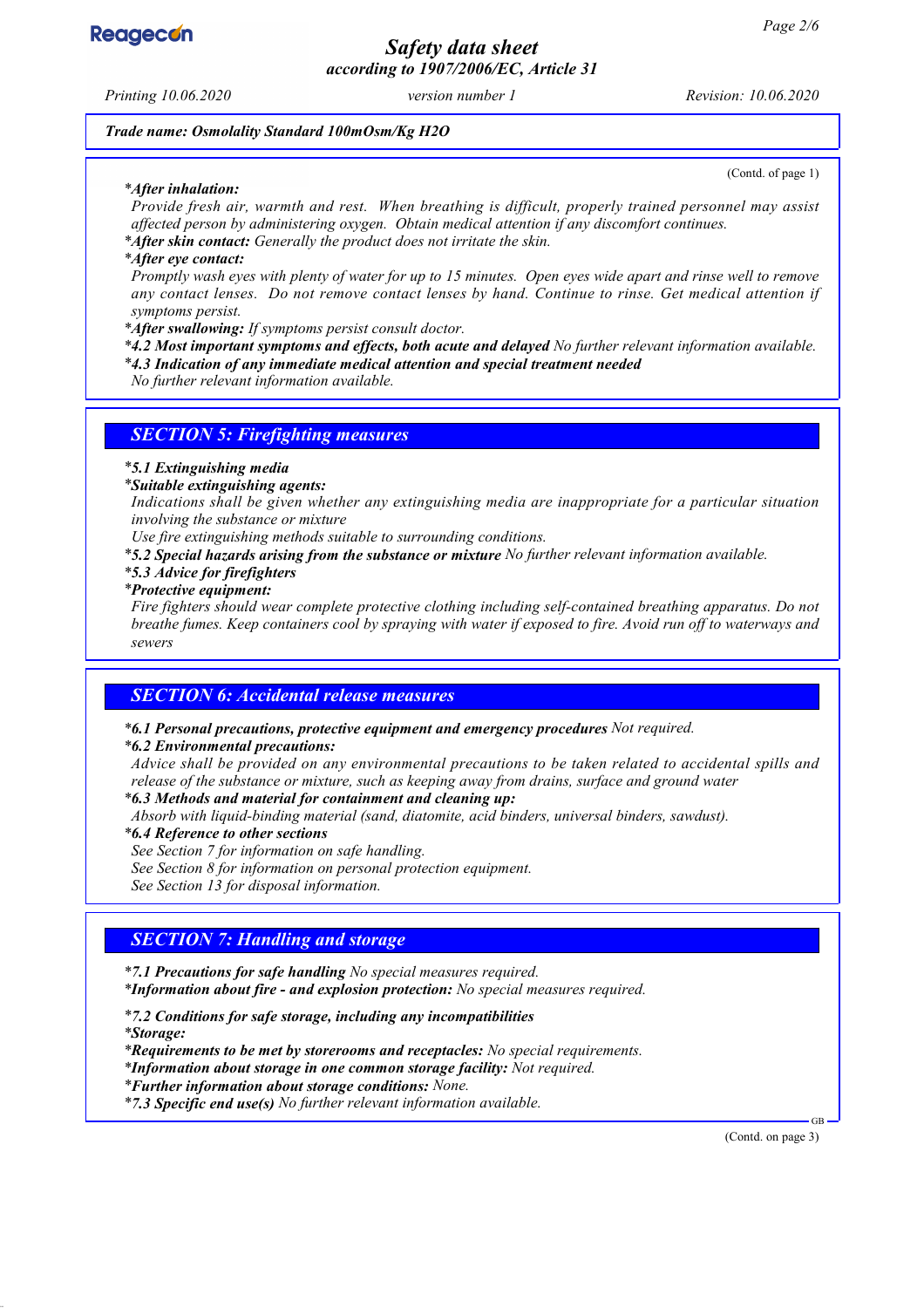

*Safety data sheet according to 1907/2006/EC, Article 31*

*Printing 10.06.2020 version number 1 Revision: 10.06.2020*

(Contd. of page 1)

*Trade name: Osmolality Standard 100mOsm/Kg H2O*

#### *\* After inhalation:*

*Provide fresh air, warmth and rest. When breathing is difficult, properly trained personnel may assist affected person by administering oxygen. Obtain medical attention if any discomfort continues.*

*\* After skin contact: Generally the product does not irritate the skin.*

#### *\* After eye contact:*

*Promptly wash eyes with plenty of water for up to 15 minutes. Open eyes wide apart and rinse well to remove any contact lenses. Do not remove contact lenses by hand. Continue to rinse. Get medical attention if symptoms persist.*

*\* After swallowing: If symptoms persist consult doctor.*

*\* 4.2 Most important symptoms and effects, both acute and delayed No further relevant information available.*

*\* 4.3 Indication of any immediate medical attention and special treatment needed*

*No further relevant information available.*

### *SECTION 5: Firefighting measures*

### *\* 5.1 Extinguishing media*

*\* Suitable extinguishing agents:*

*Indications shall be given whether any extinguishing media are inappropriate for a particular situation involving the substance or mixture*

*Use fire extinguishing methods suitable to surrounding conditions.*

*\* 5.2 Special hazards arising from the substance or mixture No further relevant information available.*

#### *\* 5.3 Advice for firefighters*

*\* Protective equipment:*

*Fire fighters should wear complete protective clothing including self-contained breathing apparatus. Do not breathe fumes. Keep containers cool by spraying with water if exposed to fire. Avoid run off to waterways and sewers*

### *SECTION 6: Accidental release measures*

*\* 6.1 Personal precautions, protective equipment and emergency procedures Not required.*

#### *\* 6.2 Environmental precautions:*

*Advice shall be provided on any environmental precautions to be taken related to accidental spills and release of the substance or mixture, such as keeping away from drains, surface and ground water*

*\* 6.3 Methods and material for containment and cleaning up:*

*Absorb with liquid-binding material (sand, diatomite, acid binders, universal binders, sawdust).*

*\* 6.4 Reference to other sections*

*See Section 7 for information on safe handling.*

*See Section 8 for information on personal protection equipment.*

*See Section 13 for disposal information.*

### *SECTION 7: Handling and storage*

*\* 7.1 Precautions for safe handling No special measures required. \* Information about fire - and explosion protection: No special measures required.*

*\* 7.2 Conditions for safe storage, including any incompatibilities \* Storage:*

*\* Requirements to be met by storerooms and receptacles: No special requirements.*

*\* Information about storage in one common storage facility: Not required.*

*\* Further information about storage conditions: None.*

*\* 7.3 Specific end use(s) No further relevant information available.*

(Contd. on page 3)

GB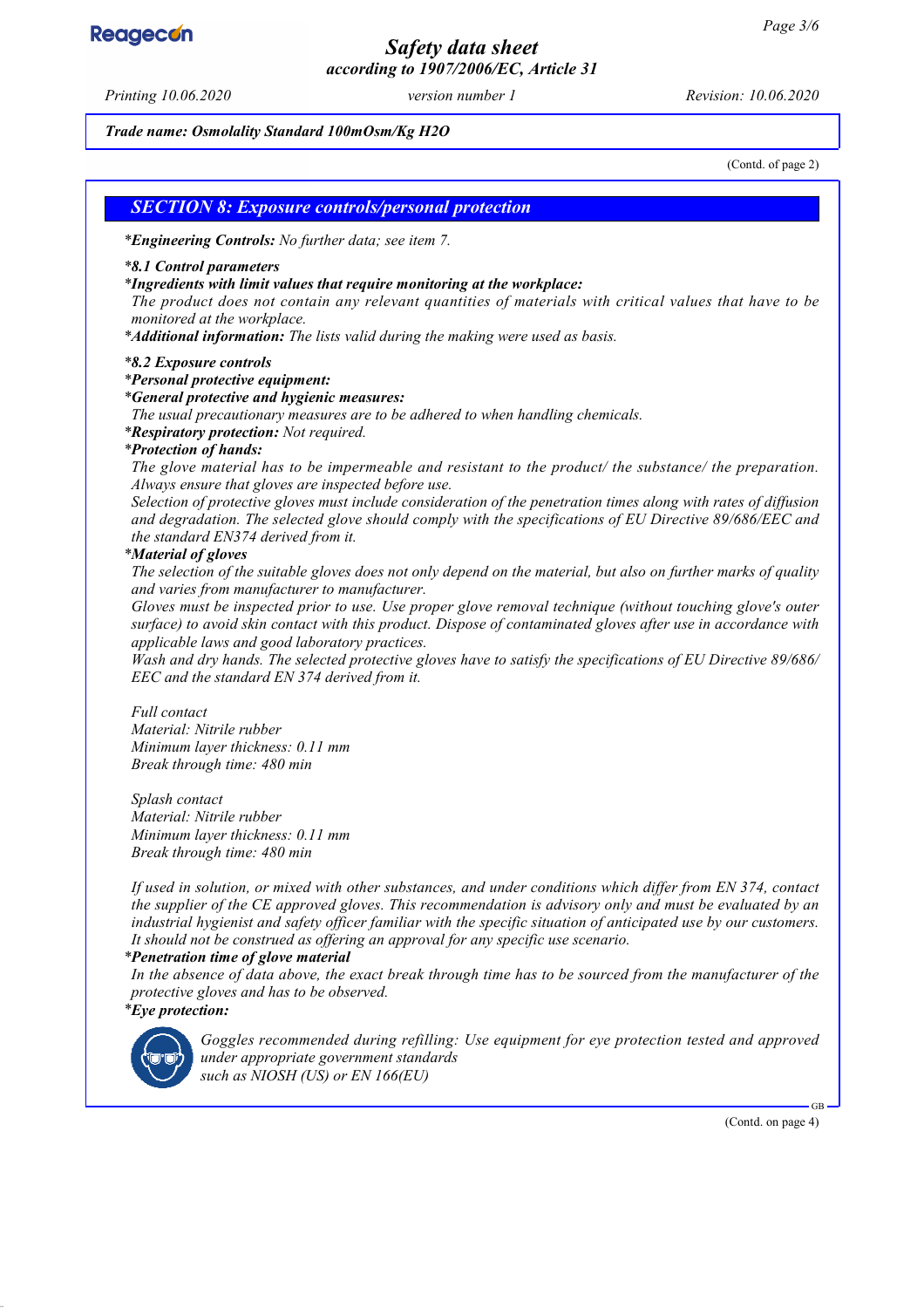# *Safety data sheet according to 1907/2006/EC, Article 31*

*Printing 10.06.2020 version number 1 Revision: 10.06.2020*

#### *Trade name: Osmolality Standard 100mOsm/Kg H2O*

(Contd. of page 2)

### *SECTION 8: Exposure controls/personal protection*

*\* Engineering Controls: No further data; see item 7.*

#### *\* 8.1 Control parameters*

#### *\* Ingredients with limit values that require monitoring at the workplace:*

*The product does not contain any relevant quantities of materials with critical values that have to be monitored at the workplace.*

*\* Additional information: The lists valid during the making were used as basis.*

#### *\* 8.2 Exposure controls*

#### *\* Personal protective equipment:*

#### *\* General protective and hygienic measures:*

*The usual precautionary measures are to be adhered to when handling chemicals.*

*\* Respiratory protection: Not required.*

#### *\* Protection of hands:*

*The glove material has to be impermeable and resistant to the product/ the substance/ the preparation. Always ensure that gloves are inspected before use.*

*Selection of protective gloves must include consideration of the penetration times along with rates of diffusion and degradation. The selected glove should comply with the specifications of EU Directive 89/686/EEC and the standard EN374 derived from it.*

#### *\* Material of gloves*

*The selection of the suitable gloves does not only depend on the material, but also on further marks of quality and varies from manufacturer to manufacturer.*

*Gloves must be inspected prior to use. Use proper glove removal technique (without touching glove's outer surface) to avoid skin contact with this product. Dispose of contaminated gloves after use in accordance with applicable laws and good laboratory practices.*

*Wash and dry hands. The selected protective gloves have to satisfy the specifications of EU Directive 89/686/ EEC and the standard EN 374 derived from it.*

### *Full contact*

*Material: Nitrile rubber Minimum layer thickness: 0.11 mm Break through time: 480 min*

*Splash contact Material: Nitrile rubber Minimum layer thickness: 0.11 mm Break through time: 480 min*

*If used in solution, or mixed with other substances, and under conditions which differ from EN 374, contact the supplier of the CE approved gloves. This recommendation is advisory only and must be evaluated by an industrial hygienist and safety officer familiar with the specific situation of anticipated use by our customers. It should not be construed as offering an approval for any specific use scenario.*

#### *\* Penetration time of glove material*

*In the absence of data above, the exact break through time has to be sourced from the manufacturer of the protective gloves and has to be observed.*

#### *\* Eye protection:*



*Goggles recommended during refilling: Use equipment for eye protection tested and approved under appropriate government standards such as NIOSH (US) or EN 166(EU)*



(Contd. on page 4)

GB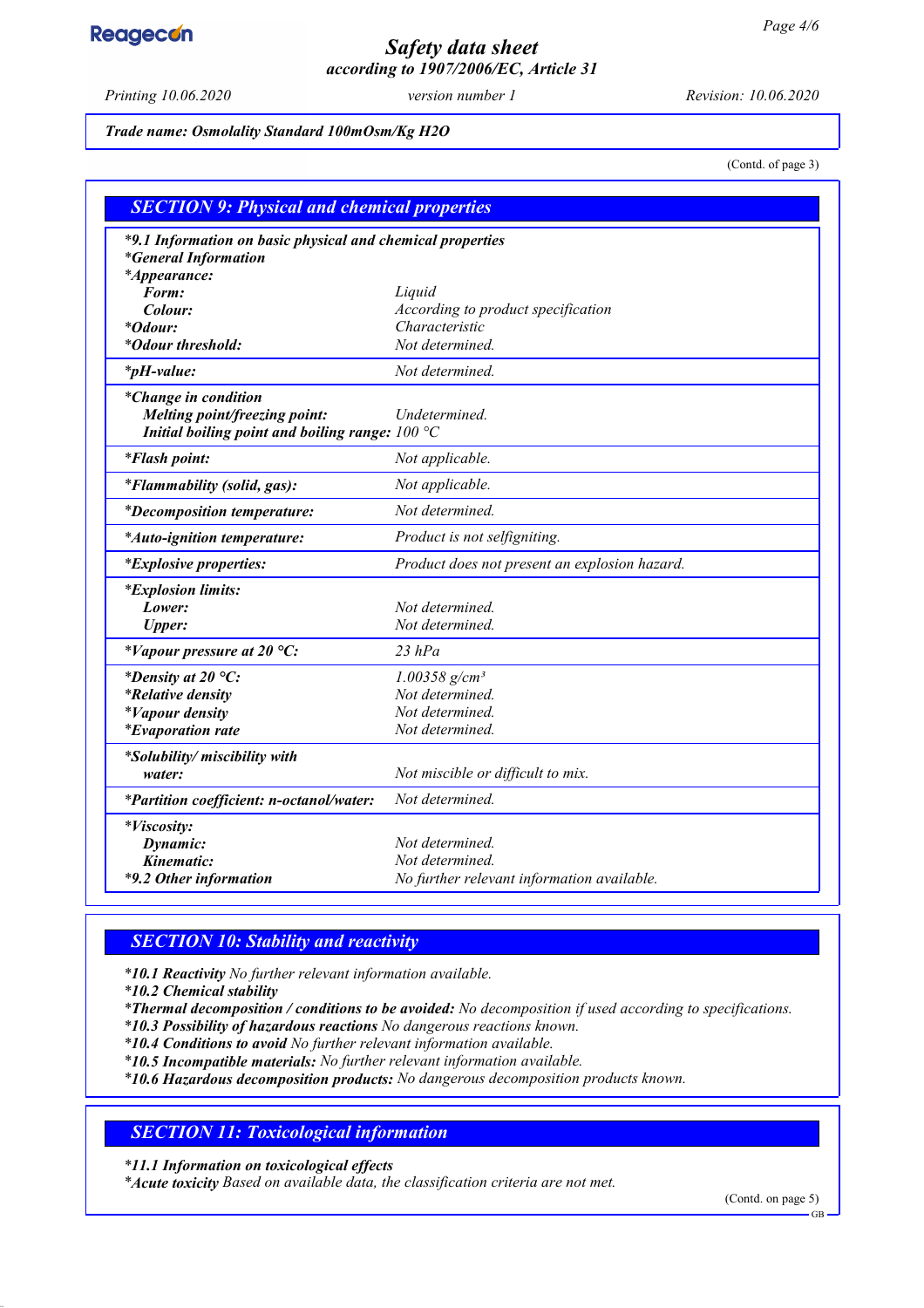# **Reagecon**

# *Safety data sheet according to 1907/2006/EC, Article 31*

*Printing 10.06.2020 version number 1 Revision: 10.06.2020*

*Trade name: Osmolality Standard 100mOsm/Kg H2O*

(Contd. of page 3)

| <b>SECTION 9: Physical and chemical properties</b>                                        |                                               |  |
|-------------------------------------------------------------------------------------------|-----------------------------------------------|--|
| *9.1 Information on basic physical and chemical properties<br><i>*General Information</i> |                                               |  |
| <i>*Appearance:</i>                                                                       |                                               |  |
| Form:                                                                                     | Liquid                                        |  |
| Colour:                                                                                   | According to product specification            |  |
| <i>*Odour:</i>                                                                            | Characteristic                                |  |
| *Odour threshold:                                                                         | Not determined.                               |  |
| $*_{p}H$ -value:                                                                          | Not determined.                               |  |
| *Change in condition                                                                      |                                               |  |
| Melting point/freezing point:                                                             | Undetermined.                                 |  |
| Initial boiling point and boiling range: $100 °C$                                         |                                               |  |
| <i>*Flash point:</i>                                                                      | Not applicable.                               |  |
| <i>*Flammability (solid, gas):</i>                                                        | Not applicable.                               |  |
| <i>*Decomposition temperature:</i>                                                        | Not determined.                               |  |
| *Auto-ignition temperature:                                                               | Product is not selfigniting.                  |  |
| <i>*Explosive properties:</i>                                                             | Product does not present an explosion hazard. |  |
| <i>*Explosion limits:</i>                                                                 |                                               |  |
| Lower:                                                                                    | Not determined.                               |  |
| <b>Upper:</b>                                                                             | Not determined.                               |  |
| *Vapour pressure at 20 $^{\circ}C$ :                                                      | $23$ $hPa$                                    |  |
| *Density at 20 $^{\circ}C$ :                                                              | $1.00358$ g/cm <sup>3</sup>                   |  |
| <i>*Relative density</i>                                                                  | Not determined.                               |  |
| <i>*Vapour density</i>                                                                    | Not determined.                               |  |
| <i>*Evaporation rate</i>                                                                  | Not determined.                               |  |
| *Solubility/ miscibility with                                                             |                                               |  |
| water:                                                                                    | Not miscible or difficult to mix.             |  |
| *Partition coefficient: n-octanol/water:                                                  | Not determined.                               |  |
| <i>*Viscosity:</i>                                                                        |                                               |  |
| Dynamic:                                                                                  | Not determined.                               |  |
| Kinematic:                                                                                | Not determined.                               |  |
| *9.2 Other information                                                                    | No further relevant information available.    |  |

## *SECTION 10: Stability and reactivity*

*\* 10.1 Reactivity No further relevant information available.*

*\* 10.2 Chemical stability*

*\* Thermal decomposition / conditions to be avoided: No decomposition if used according to specifications.*

*\* 10.3 Possibility of hazardous reactions No dangerous reactions known.*

*\* 10.4 Conditions to avoid No further relevant information available.*

*\* 10.5 Incompatible materials: No further relevant information available.*

*\* 10.6 Hazardous decomposition products: No dangerous decomposition products known.*

## *SECTION 11: Toxicological information*

*\* 11.1 Information on toxicological effects*

*\* Acute toxicity Based on available data, the classification criteria are not met.*

(Contd. on page 5)

GB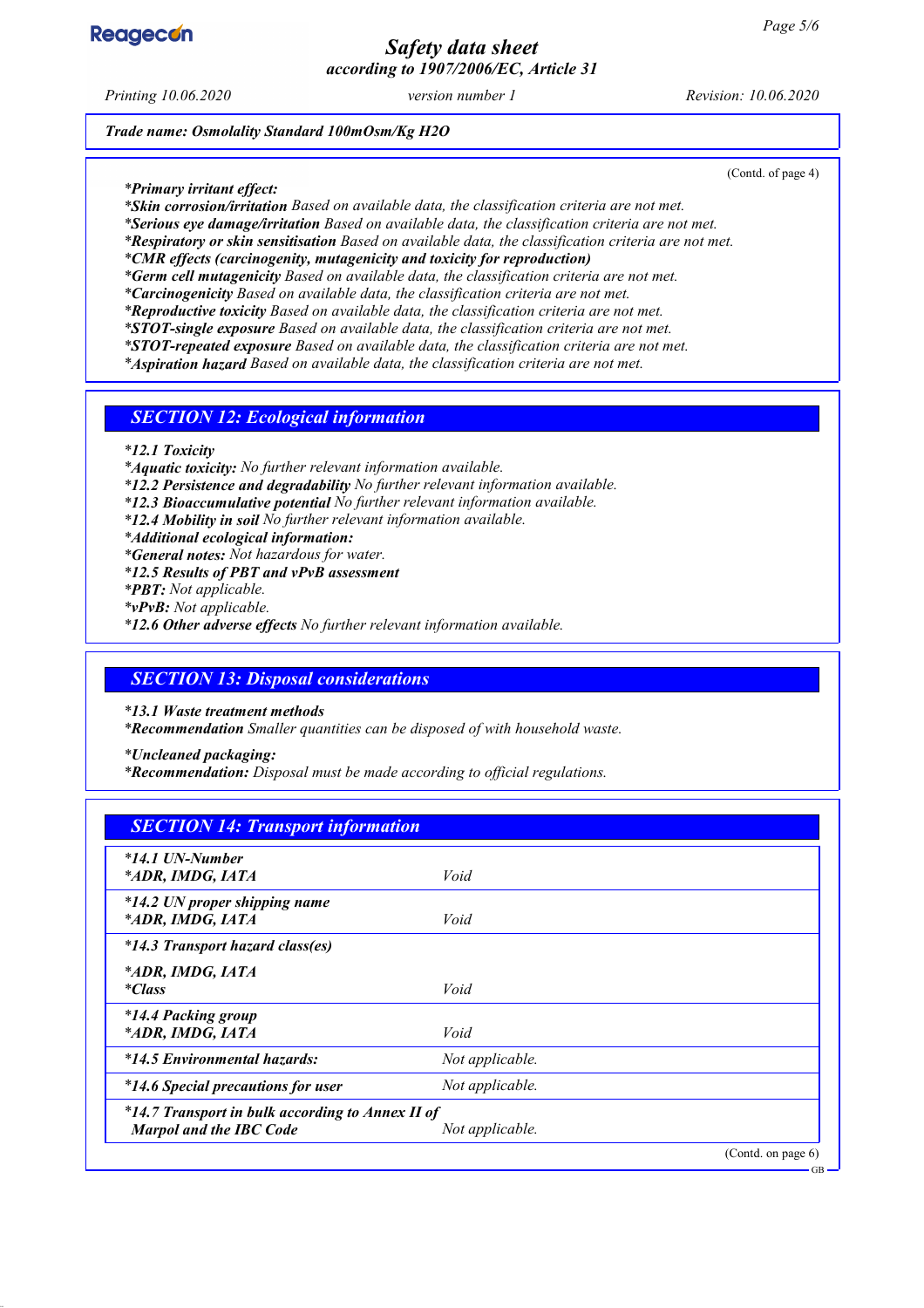# *Safety data sheet according to 1907/2006/EC, Article 31*

*Printing 10.06.2020 version number 1 Revision: 10.06.2020*

*Trade name: Osmolality Standard 100mOsm/Kg H2O*

*\* Primary irritant effect:*

*\* Skin corrosion/irritation Based on available data, the classification criteria are not met.*

*\* Serious eye damage/irritation Based on available data, the classification criteria are not met.*

*\* Respiratory or skin sensitisation Based on available data, the classification criteria are not met.*

*\* CMR effects (carcinogenity, mutagenicity and toxicity for reproduction)*

*\* Germ cell mutagenicity Based on available data, the classification criteria are not met.*

*\* Carcinogenicity Based on available data, the classification criteria are not met.*

*\* Reproductive toxicity Based on available data, the classification criteria are not met.*

*\* STOT-single exposure Based on available data, the classification criteria are not met. \* STOT-repeated exposure Based on available data, the classification criteria are not met.*

*\* Aspiration hazard Based on available data, the classification criteria are not met.*

*SECTION 12: Ecological information*

*\* 12.1 Toxicity*

*\* Aquatic toxicity: No further relevant information available.*

*\* 12.2 Persistence and degradability No further relevant information available.*

*\* 12.3 Bioaccumulative potential No further relevant information available.*

*\* 12.4 Mobility in soil No further relevant information available.*

*\* Additional ecological information:*

*\* General notes: Not hazardous for water.*

*\* 12.5 Results of PBT and vPvB assessment*

*\* PBT: Not applicable.*

*\* vPvB: Not applicable.*

*\* 12.6 Other adverse effects No further relevant information available.*

### *SECTION 13: Disposal considerations*

*\* 13.1 Waste treatment methods*

*\* Recommendation Smaller quantities can be disposed of with household waste.*

*\* Uncleaned packaging:*

*\* Recommendation: Disposal must be made according to official regulations.*

# *SECTION 14: Transport information*

| *14.1 UN-Number<br>*ADR, IMDG, IATA                                                | Void            |                    |
|------------------------------------------------------------------------------------|-----------------|--------------------|
| *14.2 UN proper shipping name<br>*ADR, IMDG, IATA                                  | Void            |                    |
| *14.3 Transport hazard class(es)                                                   |                 |                    |
| *ADR, IMDG, IATA<br><i>*Class</i>                                                  | Void            |                    |
| *14.4 Packing group<br>*ADR, IMDG, IATA                                            | Void            |                    |
| *14.5 Environmental hazards:                                                       | Not applicable. |                    |
| <i>*14.6 Special precautions for user</i>                                          | Not applicable. |                    |
| *14.7 Transport in bulk according to Annex II of<br><b>Marpol and the IBC Code</b> | Not applicable. |                    |
|                                                                                    |                 | (Contd. on page 6) |



(Contd. of page 4)

GB